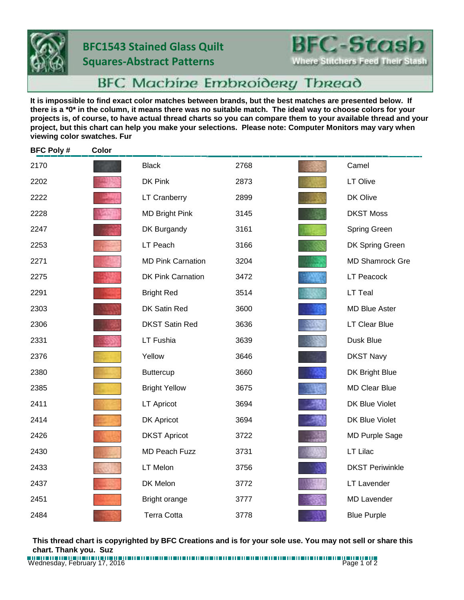## **BFC1543 Stained Glass Quilt Squares-Abstract Patterns**



**Where Stitchers Feed Their Stash** 

## **BFC Machine Embroidery Thread**

**It is impossible to find exact color matches between brands, but the best matches are presented below. If there is a \*0\* in the column, it means there was no suitable match. The ideal way to choose colors for your projects is, of course, to have actual thread charts so you can compare them to your available thread and your project, but this chart can help you make your selections. Please note: Computer Monitors may vary when viewing color swatches. Fur**

| <b>BFC Poly#</b> | Color |                          |      |                        |
|------------------|-------|--------------------------|------|------------------------|
| 2170             |       | <b>Black</b>             | 2768 | Camel                  |
| 2202             |       | DK Pink                  | 2873 | LT Olive               |
| 2222             |       | <b>LT Cranberry</b>      | 2899 | DK Olive               |
| 2228             |       | <b>MD Bright Pink</b>    | 3145 | <b>DKST Moss</b>       |
| 2247             |       | DK Burgandy              | 3161 | Spring Green           |
| 2253             |       | LT Peach                 | 3166 | DK Spring Green        |
| 2271             |       | <b>MD Pink Carnation</b> | 3204 | <b>MD Shamrock Gre</b> |
| 2275             |       | <b>DK Pink Carnation</b> | 3472 | <b>LT Peacock</b>      |
| 2291             |       | <b>Bright Red</b>        | 3514 | LT Teal                |
| 2303             |       | DK Satin Red             | 3600 | <b>MD Blue Aster</b>   |
| 2306             |       | <b>DKST Satin Red</b>    | 3636 | LT Clear Blue          |
| 2331             |       | LT Fushia                | 3639 | Dusk Blue              |
| 2376             |       | Yellow                   | 3646 | <b>DKST Navy</b>       |
| 2380             |       | <b>Buttercup</b>         | 3660 | DK Bright Blue         |
| 2385             |       | <b>Bright Yellow</b>     | 3675 | <b>MD Clear Blue</b>   |
| 2411             |       | <b>LT Apricot</b>        | 3694 | DK Blue Violet         |
| 2414             |       | DK Apricot               | 3694 | DK Blue Violet         |
| 2426             |       | <b>DKST Apricot</b>      | 3722 | <b>MD Purple Sage</b>  |
| 2430             |       | <b>MD Peach Fuzz</b>     | 3731 | LT Lilac               |
| 2433             |       | LT Melon                 | 3756 | <b>DKST Periwinkle</b> |
| 2437             |       | DK Melon                 | 3772 | <b>LT Lavender</b>     |
| 2451             |       | Bright orange            | 3777 | <b>MD Lavender</b>     |
| 2484             |       | <b>Terra Cotta</b>       | 3778 | <b>Blue Purple</b>     |

**This thread chart is copyrighted by BFC Creations and is for your sole use. You may not sell or share this chart. Thank you. Suz**